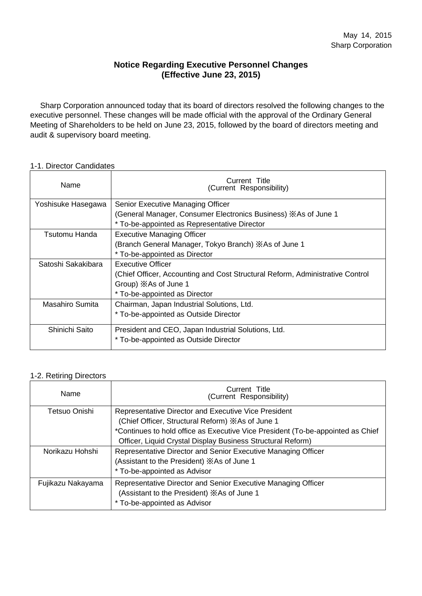#### **Notice Regarding Executive Personnel Changes (Effective June 23, 2015)**

Sharp Corporation announced today that its board of directors resolved the following changes to the executive personnel. These changes will be made official with the approval of the Ordinary General Meeting of Shareholders to be held on June 23, 2015, followed by the board of directors meeting and audit & supervisory board meeting.

#### 1-1. Director Candidates

| Name               | Current Title<br>(Current Responsibility)                                     |  |  |
|--------------------|-------------------------------------------------------------------------------|--|--|
| Yoshisuke Hasegawa | Senior Executive Managing Officer                                             |  |  |
|                    | (General Manager, Consumer Electronics Business) XAs of June 1                |  |  |
|                    | * To-be-appointed as Representative Director                                  |  |  |
| Tsutomu Handa      | <b>Executive Managing Officer</b>                                             |  |  |
|                    | (Branch General Manager, Tokyo Branch) XAs of June 1                          |  |  |
|                    | * To-be-appointed as Director                                                 |  |  |
| Satoshi Sakakibara | Executive Officer                                                             |  |  |
|                    | (Chief Officer, Accounting and Cost Structural Reform, Administrative Control |  |  |
|                    | Group) XAs of June 1                                                          |  |  |
|                    | * To-be-appointed as Director                                                 |  |  |
| Masahiro Sumita    | Chairman, Japan Industrial Solutions, Ltd.                                    |  |  |
|                    | * To-be-appointed as Outside Director                                         |  |  |
| Shinichi Saito     | President and CEO, Japan Industrial Solutions, Ltd.                           |  |  |
|                    | * To-be-appointed as Outside Director                                         |  |  |

#### 1-2. Retiring Directors

| Name              | Current Title<br>(Current Responsibility)                                       |  |  |
|-------------------|---------------------------------------------------------------------------------|--|--|
| Tetsuo Onishi     | Representative Director and Executive Vice President                            |  |  |
|                   | (Chief Officer, Structural Reform) XAs of June 1                                |  |  |
|                   | *Continues to hold office as Executive Vice President (To-be-appointed as Chief |  |  |
|                   | Officer, Liquid Crystal Display Business Structural Reform)                     |  |  |
| Norikazu Hohshi   | Representative Director and Senior Executive Managing Officer                   |  |  |
|                   | (Assistant to the President) XAs of June 1                                      |  |  |
|                   | * To-be-appointed as Advisor                                                    |  |  |
| Fujikazu Nakayama | Representative Director and Senior Executive Managing Officer                   |  |  |
|                   | (Assistant to the President) XAs of June 1                                      |  |  |
|                   | * To-be-appointed as Advisor                                                    |  |  |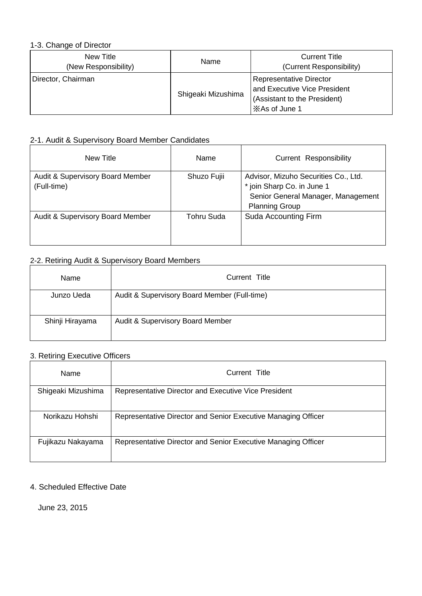#### 1-3. Change of Director

| New Title<br>(New Responsibility) | Name               | <b>Current Title</b><br>(Current Responsibility)                                                         |
|-----------------------------------|--------------------|----------------------------------------------------------------------------------------------------------|
| Director, Chairman                | Shigeaki Mizushima | Representative Director<br>and Executive Vice President<br>(Assistant to the President)<br>XAs of June 1 |

## 2-1. Audit & Supervisory Board Member Candidates

| New Title                                       | Name        | <b>Current Responsibility</b>                                                                                                     |
|-------------------------------------------------|-------------|-----------------------------------------------------------------------------------------------------------------------------------|
| Audit & Supervisory Board Member<br>(Full-time) | Shuzo Fujii | Advisor, Mizuho Securities Co., Ltd.<br>* join Sharp Co. in June 1<br>Senior General Manager, Management<br><b>Planning Group</b> |
| Audit & Supervisory Board Member                | Tohru Suda  | Suda Accounting Firm                                                                                                              |

## 2-2. Retiring Audit & Supervisory Board Members

| Name            | Current Title                                |
|-----------------|----------------------------------------------|
| Junzo Ueda      | Audit & Supervisory Board Member (Full-time) |
| Shinji Hirayama | Audit & Supervisory Board Member             |

## 3. Retiring Executive Officers

| Name               | Current Title                                                 |
|--------------------|---------------------------------------------------------------|
| Shigeaki Mizushima | Representative Director and Executive Vice President          |
| Norikazu Hohshi    | Representative Director and Senior Executive Managing Officer |
| Fujikazu Nakayama  | Representative Director and Senior Executive Managing Officer |

#### 4. Scheduled Effective Date

June 23, 2015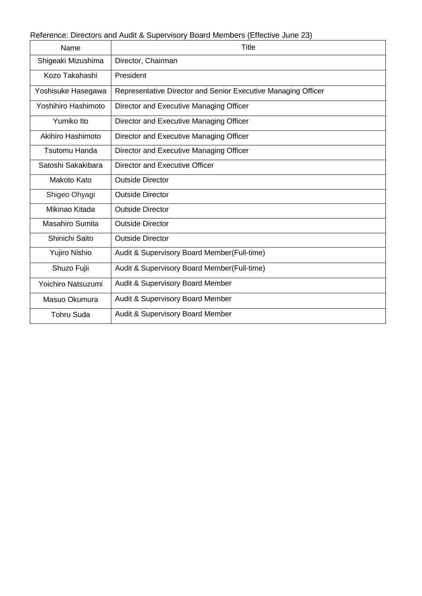Reference: Directors and Audit & Supervisory Board Members (Effective June 23)

| Name                | <b>Title</b>                                                  |
|---------------------|---------------------------------------------------------------|
| Shigeaki Mizushima  | Director, Chairman                                            |
| Kozo Takahashi      | President                                                     |
| Yoshisuke Hasegawa  | Representative Director and Senior Executive Managing Officer |
| Yoshihiro Hashimoto | Director and Executive Managing Officer                       |
| Yumiko Ito          | Director and Executive Managing Officer                       |
| Akihiro Hashimoto   | Director and Executive Managing Officer                       |
| Tsutomu Handa       | Director and Executive Managing Officer                       |
| Satoshi Sakakibara  | Director and Executive Officer                                |
| Makoto Kato         | <b>Outside Director</b>                                       |
| Shigeo Ohyagi       | <b>Outside Director</b>                                       |
| Mikinao Kitada      | <b>Outside Director</b>                                       |
| Masahiro Sumita     | <b>Outside Director</b>                                       |
| Shinichi Saito      | <b>Outside Director</b>                                       |
| Yujiro Nishio       | Audit & Supervisory Board Member(Full-time)                   |
| Shuzo Fujii         | Audit & Supervisory Board Member(Full-time)                   |
| Yoichiro Natsuzumi  | <b>Audit &amp; Supervisory Board Member</b>                   |
| Masuo Okumura       | <b>Audit &amp; Supervisory Board Member</b>                   |
| <b>Tohru Suda</b>   | Audit & Supervisory Board Member                              |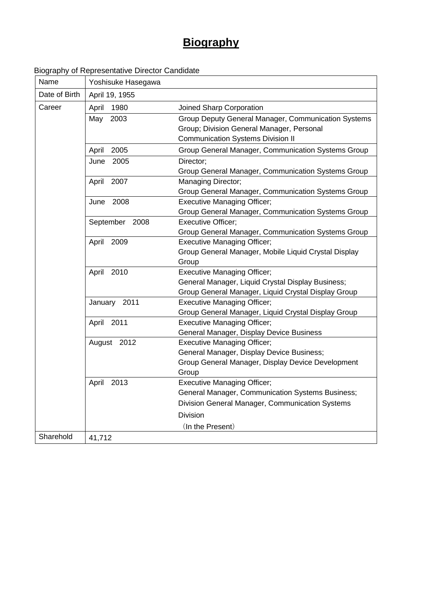# **Biography**

## Biography of Representative Director Candidate

| Name          | Yoshisuke Hasegawa |                                                      |
|---------------|--------------------|------------------------------------------------------|
| Date of Birth | April 19, 1955     |                                                      |
| Career        | April<br>1980      | Joined Sharp Corporation                             |
|               | 2003<br>May        | Group Deputy General Manager, Communication Systems  |
|               |                    | Group; Division General Manager, Personal            |
|               |                    | <b>Communication Systems Division II</b>             |
|               | April<br>2005      | Group General Manager, Communication Systems Group   |
|               | 2005<br>June       | Director;                                            |
|               |                    | Group General Manager, Communication Systems Group   |
|               | 2007<br>April      | Managing Director;                                   |
|               |                    | Group General Manager, Communication Systems Group   |
|               | 2008<br>June       | <b>Executive Managing Officer;</b>                   |
|               |                    | Group General Manager, Communication Systems Group   |
|               | September 2008     | <b>Executive Officer;</b>                            |
|               |                    | Group General Manager, Communication Systems Group   |
|               | April<br>2009      | <b>Executive Managing Officer;</b>                   |
|               |                    | Group General Manager, Mobile Liquid Crystal Display |
|               |                    | Group                                                |
|               | April<br>2010      | <b>Executive Managing Officer;</b>                   |
|               |                    | General Manager, Liquid Crystal Display Business;    |
|               |                    | Group General Manager, Liquid Crystal Display Group  |
|               | 2011<br>January    | <b>Executive Managing Officer;</b>                   |
|               |                    | Group General Manager, Liquid Crystal Display Group  |
|               | April<br>2011      | <b>Executive Managing Officer;</b>                   |
|               |                    | General Manager, Display Device Business             |
|               | August 2012        | <b>Executive Managing Officer;</b>                   |
|               |                    | General Manager, Display Device Business;            |
|               |                    | Group General Manager, Display Device Development    |
|               |                    | Group                                                |
|               | April<br>2013      | <b>Executive Managing Officer;</b>                   |
|               |                    | General Manager, Communication Systems Business;     |
|               |                    | Division General Manager, Communication Systems      |
|               |                    | <b>Division</b>                                      |
|               |                    | (In the Present)                                     |
| Sharehold     | 41,712             |                                                      |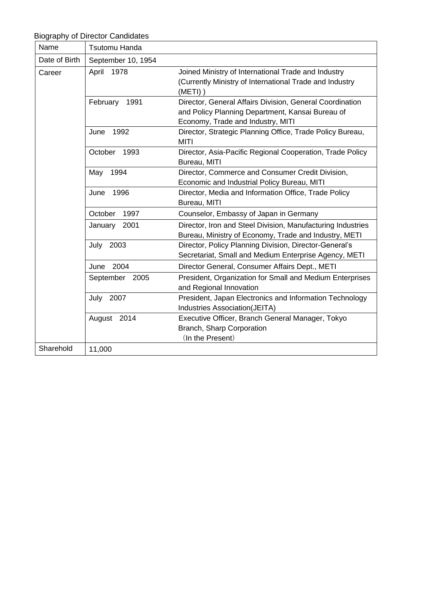|               | <b>Biography of Director Candidates</b> |                                                                                                                                                   |
|---------------|-----------------------------------------|---------------------------------------------------------------------------------------------------------------------------------------------------|
| Name          | Tsutomu Handa                           |                                                                                                                                                   |
| Date of Birth | September 10, 1954                      |                                                                                                                                                   |
| Career        | 1978<br>April                           | Joined Ministry of International Trade and Industry<br>(Currently Ministry of International Trade and Industry<br>$(METI)$ )                      |
|               | February<br>1991                        | Director, General Affairs Division, General Coordination<br>and Policy Planning Department, Kansai Bureau of<br>Economy, Trade and Industry, MITI |
|               | 1992<br>June                            | Director, Strategic Planning Office, Trade Policy Bureau,<br><b>MITI</b>                                                                          |
|               | October<br>1993                         | Director, Asia-Pacific Regional Cooperation, Trade Policy<br>Bureau, MITI                                                                         |
|               | 1994<br>May                             | Director, Commerce and Consumer Credit Division,<br>Economic and Industrial Policy Bureau, MITI                                                   |
|               | June<br>1996                            | Director, Media and Information Office, Trade Policy<br>Bureau, MITI                                                                              |
|               | October<br>1997                         | Counselor, Embassy of Japan in Germany                                                                                                            |
|               | 2001<br>January                         | Director, Iron and Steel Division, Manufacturing Industries<br>Bureau, Ministry of Economy, Trade and Industry, METI                              |
|               | 2003<br>July                            | Director, Policy Planning Division, Director-General's<br>Secretariat, Small and Medium Enterprise Agency, METI                                   |
|               | 2004<br>June                            | Director General, Consumer Affairs Dept., METI                                                                                                    |
|               | September<br>2005                       | President, Organization for Small and Medium Enterprises<br>and Regional Innovation                                                               |
|               | July<br>2007                            | President, Japan Electronics and Information Technology<br>Industries Association(JEITA)                                                          |
|               | August 2014                             | Executive Officer, Branch General Manager, Tokyo<br>Branch, Sharp Corporation<br>(In the Present)                                                 |
| Sharehold     | 11,000                                  |                                                                                                                                                   |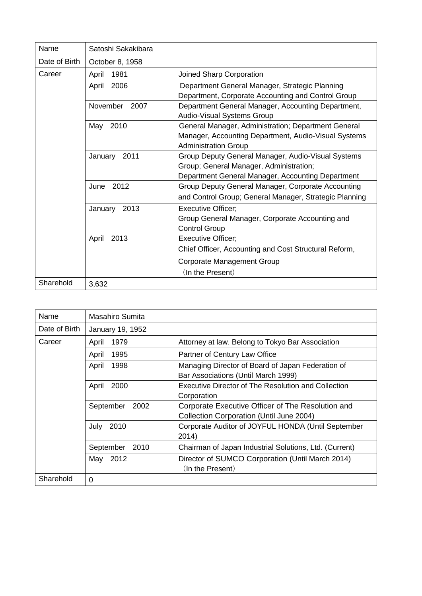| Name          | Satoshi Sakakibara |                                                                                                                                                    |
|---------------|--------------------|----------------------------------------------------------------------------------------------------------------------------------------------------|
| Date of Birth | October 8, 1958    |                                                                                                                                                    |
| Career        | 1981<br>April      | Joined Sharp Corporation                                                                                                                           |
|               | 2006<br>April      | Department General Manager, Strategic Planning<br>Department, Corporate Accounting and Control Group                                               |
|               | November<br>2007   | Department General Manager, Accounting Department,<br><b>Audio-Visual Systems Group</b>                                                            |
|               | 2010<br>May        | General Manager, Administration; Department General<br>Manager, Accounting Department, Audio-Visual Systems<br><b>Administration Group</b>         |
|               | 2011<br>January    | Group Deputy General Manager, Audio-Visual Systems<br>Group; General Manager, Administration;<br>Department General Manager, Accounting Department |
|               | 2012<br>June       | Group Deputy General Manager, Corporate Accounting<br>and Control Group; General Manager, Strategic Planning                                       |
|               | January<br>2013    | <b>Executive Officer;</b><br>Group General Manager, Corporate Accounting and<br><b>Control Group</b>                                               |
|               | 2013<br>April      | <b>Executive Officer;</b><br>Chief Officer, Accounting and Cost Structural Reform,                                                                 |
|               |                    | Corporate Management Group<br>(In the Present)                                                                                                     |
| Sharehold     | 3,632              |                                                                                                                                                    |

| Name          | Masahiro Sumita   |                                                                                               |
|---------------|-------------------|-----------------------------------------------------------------------------------------------|
| Date of Birth | January 19, 1952  |                                                                                               |
| Career        | 1979<br>April     | Attorney at law. Belong to Tokyo Bar Association                                              |
|               | 1995<br>April     | Partner of Century Law Office                                                                 |
|               | 1998<br>April     | Managing Director of Board of Japan Federation of<br>Bar Associations (Until March 1999)      |
|               | 2000<br>April     | Executive Director of The Resolution and Collection<br>Corporation                            |
|               | September<br>2002 | Corporate Executive Officer of The Resolution and<br>Collection Corporation (Until June 2004) |
|               | 2010<br>July      | Corporate Auditor of JOYFUL HONDA (Until September<br>2014)                                   |
|               | September<br>2010 | Chairman of Japan Industrial Solutions, Ltd. (Current)                                        |
|               | May 2012          | Director of SUMCO Corporation (Until March 2014)<br>(In the Present)                          |
| Sharehold     | 0                 |                                                                                               |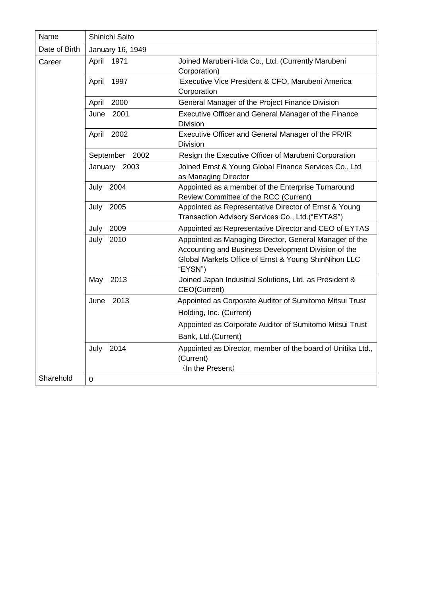| Name          | Shinichi Saito    |                                                                                                                                                                                  |
|---------------|-------------------|----------------------------------------------------------------------------------------------------------------------------------------------------------------------------------|
| Date of Birth | January 16, 1949  |                                                                                                                                                                                  |
| Career        | 1971<br>April     | Joined Marubeni-lida Co., Ltd. (Currently Marubeni<br>Corporation)                                                                                                               |
|               | 1997<br>April     | Executive Vice President & CFO, Marubeni America<br>Corporation                                                                                                                  |
|               | 2000<br>April     | General Manager of the Project Finance Division                                                                                                                                  |
|               | 2001<br>June      | Executive Officer and General Manager of the Finance<br><b>Division</b>                                                                                                          |
|               | 2002<br>April     | Executive Officer and General Manager of the PR/IR<br><b>Division</b>                                                                                                            |
|               | September<br>2002 | Resign the Executive Officer of Marubeni Corporation                                                                                                                             |
|               | January 2003      | Joined Ernst & Young Global Finance Services Co., Ltd<br>as Managing Director                                                                                                    |
|               | 2004<br>July      | Appointed as a member of the Enterprise Turnaround<br>Review Committee of the RCC (Current)                                                                                      |
|               | July 2005         | Appointed as Representative Director of Ernst & Young<br>Transaction Advisory Services Co., Ltd.("EYTAS")                                                                        |
|               | 2009<br>July      | Appointed as Representative Director and CEO of EYTAS                                                                                                                            |
|               | July<br>2010      | Appointed as Managing Director, General Manager of the<br>Accounting and Business Development Division of the<br>Global Markets Office of Ernst & Young ShinNihon LLC<br>"EYSN") |
|               | 2013<br>May       | Joined Japan Industrial Solutions, Ltd. as President &<br>CEO(Current)                                                                                                           |
|               | 2013<br>June      | Appointed as Corporate Auditor of Sumitomo Mitsui Trust                                                                                                                          |
|               |                   | Holding, Inc. (Current)                                                                                                                                                          |
|               |                   | Appointed as Corporate Auditor of Sumitomo Mitsui Trust                                                                                                                          |
|               |                   | Bank, Ltd.(Current)                                                                                                                                                              |
|               | July 2014         | Appointed as Director, member of the board of Unitika Ltd.,<br>(Current)<br>(In the Present)                                                                                     |
| Sharehold     | $\mathbf 0$       |                                                                                                                                                                                  |